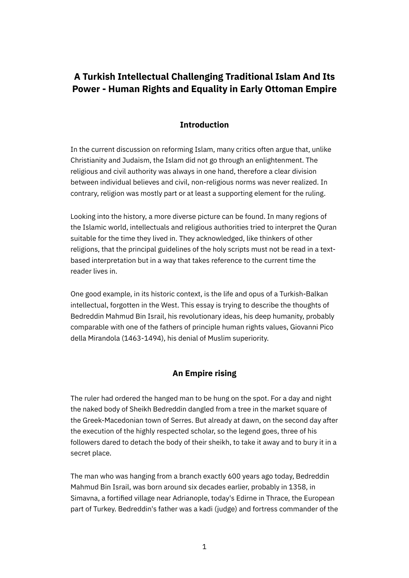# **A Turkish Intellectual Challenging Traditional Islam And Its Power - Human Rights and Equality in Early Ottoman Empire**

# **Introduction**

In the current discussion on reforming Islam, many critics often argue that, unlike Christianity and Judaism, the Islam did not go through an enlightenment. The religious and civil authority was always in one hand, therefore a clear division between individual believes and civil, non-religious norms was never realized. In contrary, religion was mostly part or at least a supporting element for the ruling.

Looking into the history, a more diverse picture can be found. In many regions of the Islamic world, intellectuals and religious authorities tried to interpret the Quran suitable for the time they lived in. They acknowledged, like thinkers of other religions, that the principal guidelines of the holy scripts must not be read in a textbased interpretation but in a way that takes reference to the current time the reader lives in.

One good example, in its historic context, is the life and opus of a Turkish-Balkan intellectual, forgotten in the West. This essay is trying to describe the thoughts of Bedreddin Mahmud Bin Israil, his revolutionary ideas, his deep humanity, probably comparable with one of the fathers of principle human rights values, Giovanni Pico della Mirandola (1463-1494), his denial of Muslim superiority.

# **An Empire rising**

The ruler had ordered the hanged man to be hung on the spot. For a day and night the naked body of Sheikh Bedreddin dangled from a tree in the market square of the Greek-Macedonian town of Serres. But already at dawn, on the second day after the execution of the highly respected scholar, so the legend goes, three of his followers dared to detach the body of their sheikh, to take it away and to bury it in a secret place.

The man who was hanging from a branch exactly 600 years ago today, Bedreddin Mahmud Bin Israil, was born around six decades earlier, probably in 1358, in Simavna, a fortified village near Adrianople, today's Edirne in Thrace, the European part of Turkey. Bedreddin's father was a kadi (judge) and fortress commander of the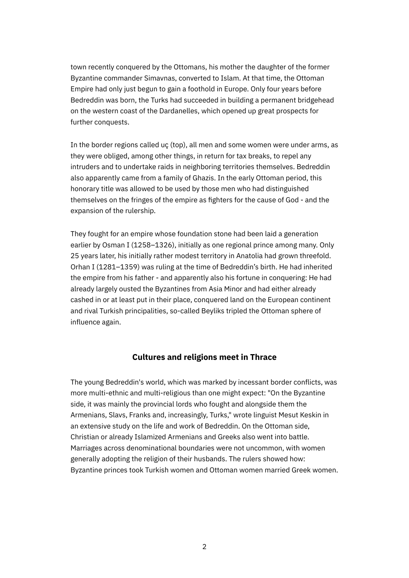town recently conquered by the Ottomans, his mother the daughter of the former Byzantine commander Simavnas, converted to Islam. At that time, the Ottoman Empire had only just begun to gain a foothold in Europe. Only four years before Bedreddin was born, the Turks had succeeded in building a permanent bridgehead on the western coast of the Dardanelles, which opened up great prospects for further conquests.

In the border regions called uç (top), all men and some women were under arms, as they were obliged, among other things, in return for tax breaks, to repel any intruders and to undertake raids in neighboring territories themselves. Bedreddin also apparently came from a family of Ghazis. In the early Ottoman period, this honorary title was allowed to be used by those men who had distinguished themselves on the fringes of the empire as fighters for the cause of God - and the expansion of the rulership.

They fought for an empire whose foundation stone had been laid a generation earlier by Osman I (1258–1326), initially as one regional prince among many. Only 25 years later, his initially rather modest territory in Anatolia had grown threefold. Orhan I (1281–1359) was ruling at the time of Bedreddin's birth. He had inherited the empire from his father - and apparently also his fortune in conquering: He had already largely ousted the Byzantines from Asia Minor and had either already cashed in or at least put in their place, conquered land on the European continent and rival Turkish principalities, so-called Beyliks tripled the Ottoman sphere of influence again.

#### **Cultures and religions meet in Thrace**

The young Bedreddin's world, which was marked by incessant border conflicts, was more multi-ethnic and multi-religious than one might expect: "On the Byzantine side, it was mainly the provincial lords who fought and alongside them the Armenians, Slavs, Franks and, increasingly, Turks," wrote linguist Mesut Keskin in an extensive study on the life and work of Bedreddin. On the Ottoman side, Christian or already Islamized Armenians and Greeks also went into battle. Marriages across denominational boundaries were not uncommon, with women generally adopting the religion of their husbands. The rulers showed how: Byzantine princes took Turkish women and Ottoman women married Greek women.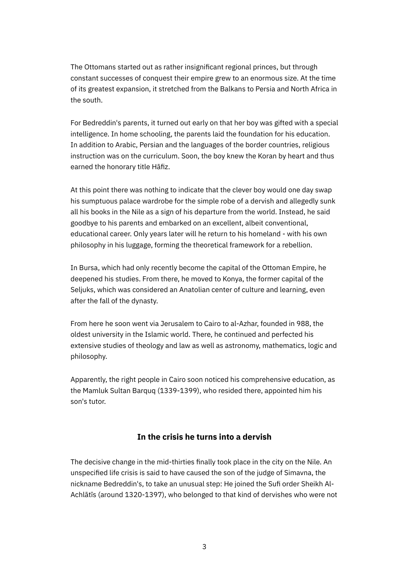The Ottomans started out as rather insignificant regional princes, but through constant successes of conquest their empire grew to an enormous size. At the time of its greatest expansion, it stretched from the Balkans to Persia and North Africa in the south.

For Bedreddin's parents, it turned out early on that her boy was gifted with a special intelligence. In home schooling, the parents laid the foundation for his education. In addition to Arabic, Persian and the languages of the border countries, religious instruction was on the curriculum. Soon, the boy knew the Koran by heart and thus earned the honorary title Hāfiz.

At this point there was nothing to indicate that the clever boy would one day swap his sumptuous palace wardrobe for the simple robe of a dervish and allegedly sunk all his books in the Nile as a sign of his departure from the world. Instead, he said goodbye to his parents and embarked on an excellent, albeit conventional, educational career. Only years later will he return to his homeland - with his own philosophy in his luggage, forming the theoretical framework for a rebellion.

In Bursa, which had only recently become the capital of the Ottoman Empire, he deepened his studies. From there, he moved to Konya, the former capital of the Seljuks, which was considered an Anatolian center of culture and learning, even after the fall of the dynasty.

From here he soon went via Jerusalem to Cairo to al-Azhar, founded in 988, the oldest university in the Islamic world. There, he continued and perfected his extensive studies of theology and law as well as astronomy, mathematics, logic and philosophy.

Apparently, the right people in Cairo soon noticed his comprehensive education, as the Mamluk Sultan Barquq (1339-1399), who resided there, appointed him his son's tutor.

# **In the crisis he turns into a dervish**

The decisive change in the mid-thirties finally took place in the city on the Nile. An unspecified life crisis is said to have caused the son of the judge of Simavna, the nickname Bedreddin's, to take an unusual step: He joined the Sufi order Sheikh Al-Achlātīs (around 1320-1397), who belonged to that kind of dervishes who were not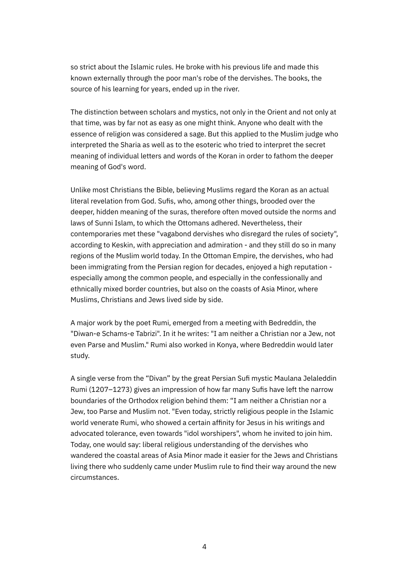so strict about the Islamic rules. He broke with his previous life and made this known externally through the poor man's robe of the dervishes. The books, the source of his learning for years, ended up in the river.

The distinction between scholars and mystics, not only in the Orient and not only at that time, was by far not as easy as one might think. Anyone who dealt with the essence of religion was considered a sage. But this applied to the Muslim judge who interpreted the Sharia as well as to the esoteric who tried to interpret the secret meaning of individual letters and words of the Koran in order to fathom the deeper meaning of God's word.

Unlike most Christians the Bible, believing Muslims regard the Koran as an actual literal revelation from God. Sufis, who, among other things, brooded over the deeper, hidden meaning of the suras, therefore often moved outside the norms and laws of Sunni Islam, to which the Ottomans adhered. Nevertheless, their contemporaries met these "vagabond dervishes who disregard the rules of society", according to Keskin, with appreciation and admiration - and they still do so in many regions of the Muslim world today. In the Ottoman Empire, the dervishes, who had been immigrating from the Persian region for decades, enjoyed a high reputation especially among the common people, and especially in the confessionally and ethnically mixed border countries, but also on the coasts of Asia Minor, where Muslims, Christians and Jews lived side by side.

A major work by the poet Rumi, emerged from a meeting with Bedreddin, the "Diwan-e Schams-e Tabrizi". In it he writes: "I am neither a Christian nor a Jew, not even Parse and Muslim." Rumi also worked in Konya, where Bedreddin would later study.

A single verse from the "Divan" by the great Persian Sufi mystic Maulana Jelaleddin Rumi (1207–1273) gives an impression of how far many Sufis have left the narrow boundaries of the Orthodox religion behind them: "I am neither a Christian nor a Jew, too Parse and Muslim not. "Even today, strictly religious people in the Islamic world venerate Rumi, who showed a certain affinity for Jesus in his writings and advocated tolerance, even towards "idol worshipers", whom he invited to join him. Today, one would say: liberal religious understanding of the dervishes who wandered the coastal areas of Asia Minor made it easier for the Jews and Christians living there who suddenly came under Muslim rule to find their way around the new circumstances.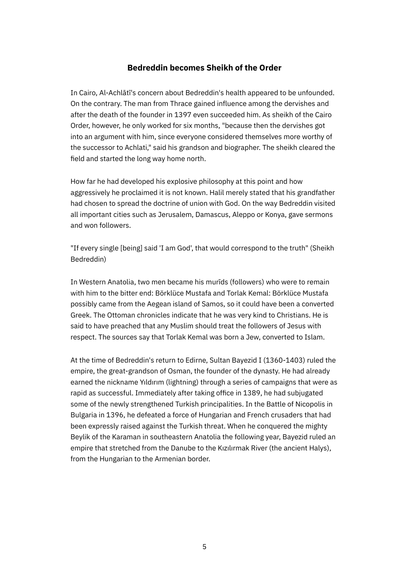# **Bedreddin becomes Sheikh of the Order**

In Cairo, Al-Achlātī's concern about Bedreddin's health appeared to be unfounded. On the contrary. The man from Thrace gained influence among the dervishes and after the death of the founder in 1397 even succeeded him. As sheikh of the Cairo Order, however, he only worked for six months, "because then the dervishes got into an argument with him, since everyone considered themselves more worthy of the successor to Achlati," said his grandson and biographer. The sheikh cleared the field and started the long way home north.

How far he had developed his explosive philosophy at this point and how aggressively he proclaimed it is not known. Halil merely stated that his grandfather had chosen to spread the doctrine of union with God. On the way Bedreddin visited all important cities such as Jerusalem, Damascus, Aleppo or Konya, gave sermons and won followers.

"If every single [being] said 'I am God', that would correspond to the truth" (Sheikh Bedreddin)

In Western Anatolia, two men became his murīds (followers) who were to remain with him to the bitter end: Börklüce Mustafa and Torlak Kemal: Börklüce Mustafa possibly came from the Aegean island of Samos, so it could have been a converted Greek. The Ottoman chronicles indicate that he was very kind to Christians. He is said to have preached that any Muslim should treat the followers of Jesus with respect. The sources say that Torlak Kemal was born a Jew, converted to Islam.

At the time of Bedreddin's return to Edirne, Sultan Bayezid I (1360-1403) ruled the empire, the great-grandson of Osman, the founder of the dynasty. He had already earned the nickname Yıldırım (lightning) through a series of campaigns that were as rapid as successful. Immediately after taking office in 1389, he had subjugated some of the newly strengthened Turkish principalities. In the Battle of Nicopolis in Bulgaria in 1396, he defeated a force of Hungarian and French crusaders that had been expressly raised against the Turkish threat. When he conquered the mighty Beylik of the Karaman in southeastern Anatolia the following year, Bayezid ruled an empire that stretched from the Danube to the Kızılırmak River (the ancient Halys), from the Hungarian to the Armenian border.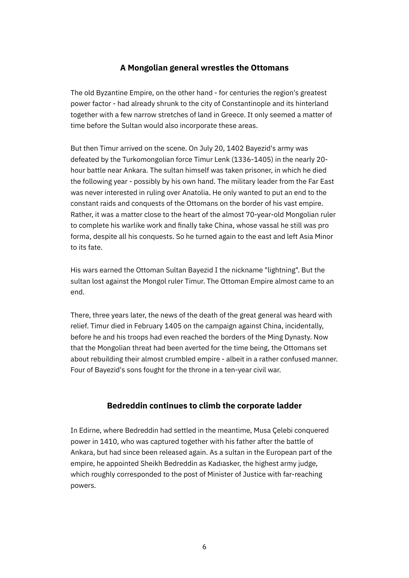# **A Mongolian general wrestles the Ottomans**

The old Byzantine Empire, on the other hand - for centuries the region's greatest power factor - had already shrunk to the city of Constantinople and its hinterland together with a few narrow stretches of land in Greece. It only seemed a matter of time before the Sultan would also incorporate these areas.

But then Timur arrived on the scene. On July 20, 1402 Bayezid's army was defeated by the Turkomongolian force Timur Lenk (1336-1405) in the nearly 20 hour battle near Ankara. The sultan himself was taken prisoner, in which he died the following year - possibly by his own hand. The military leader from the Far East was never interested in ruling over Anatolia. He only wanted to put an end to the constant raids and conquests of the Ottomans on the border of his vast empire. Rather, it was a matter close to the heart of the almost 70-year-old Mongolian ruler to complete his warlike work and finally take China, whose vassal he still was pro forma, despite all his conquests. So he turned again to the east and left Asia Minor to its fate.

His wars earned the Ottoman Sultan Bayezid I the nickname "lightning". But the sultan lost against the Mongol ruler Timur. The Ottoman Empire almost came to an end.

There, three years later, the news of the death of the great general was heard with relief. Timur died in February 1405 on the campaign against China, incidentally, before he and his troops had even reached the borders of the Ming Dynasty. Now that the Mongolian threat had been averted for the time being, the Ottomans set about rebuilding their almost crumbled empire - albeit in a rather confused manner. Four of Bayezid's sons fought for the throne in a ten-year civil war.

# **Bedreddin continues to climb the corporate ladder**

In Edirne, where Bedreddin had settled in the meantime, Musa Çelebi conquered power in 1410, who was captured together with his father after the battle of Ankara, but had since been released again. As a sultan in the European part of the empire, he appointed Sheikh Bedreddin as Kadıasker, the highest army judge, which roughly corresponded to the post of Minister of Justice with far-reaching powers.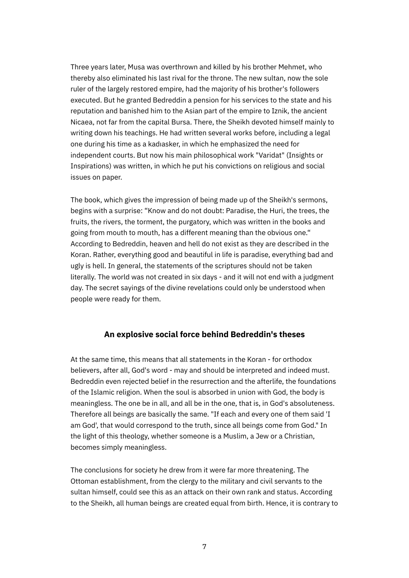Three years later, Musa was overthrown and killed by his brother Mehmet, who thereby also eliminated his last rival for the throne. The new sultan, now the sole ruler of the largely restored empire, had the majority of his brother's followers executed. But he granted Bedreddin a pension for his services to the state and his reputation and banished him to the Asian part of the empire to Iznik, the ancient Nicaea, not far from the capital Bursa. There, the Sheikh devoted himself mainly to writing down his teachings. He had written several works before, including a legal one during his time as a kadıasker, in which he emphasized the need for independent courts. But now his main philosophical work "Varidat" (Insights or Inspirations) was written, in which he put his convictions on religious and social issues on paper.

The book, which gives the impression of being made up of the Sheikh's sermons, begins with a surprise: "Know and do not doubt: Paradise, the Huri, the trees, the fruits, the rivers, the torment, the purgatory, which was written in the books and going from mouth to mouth, has a different meaning than the obvious one." According to Bedreddin, heaven and hell do not exist as they are described in the Koran. Rather, everything good and beautiful in life is paradise, everything bad and ugly is hell. In general, the statements of the scriptures should not be taken literally. The world was not created in six days - and it will not end with a judgment day. The secret sayings of the divine revelations could only be understood when people were ready for them.

# **An explosive social force behind Bedreddin's theses**

At the same time, this means that all statements in the Koran - for orthodox believers, after all, God's word - may and should be interpreted and indeed must. Bedreddin even rejected belief in the resurrection and the afterlife, the foundations of the Islamic religion. When the soul is absorbed in union with God, the body is meaningless. The one be in all, and all be in the one, that is, in God's absoluteness. Therefore all beings are basically the same. "If each and every one of them said 'I am God', that would correspond to the truth, since all beings come from God." In the light of this theology, whether someone is a Muslim, a Jew or a Christian, becomes simply meaningless.

The conclusions for society he drew from it were far more threatening. The Ottoman establishment, from the clergy to the military and civil servants to the sultan himself, could see this as an attack on their own rank and status. According to the Sheikh, all human beings are created equal from birth. Hence, it is contrary to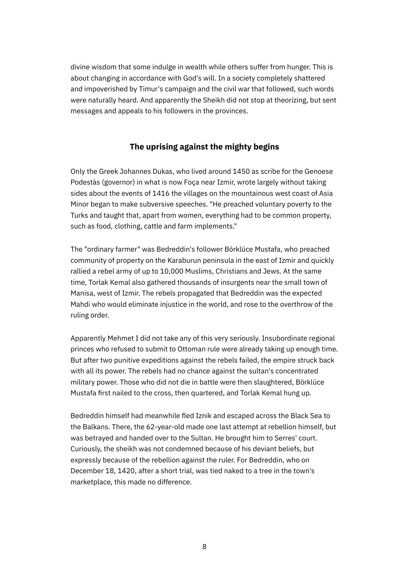divine wisdom that some indulge in wealth while others suffer from hunger. This is about changing in accordance with God's will. In a society completely shattered and impoverished by Timur's campaign and the civil war that followed, such words were naturally heard. And apparently the Sheikh did not stop at theorizing, but sent messages and appeals to his followers in the provinces.

# **The uprising against the mighty begins**

Only the Greek Johannes Dukas, who lived around 1450 as scribe for the Genoese Podestàs (governor) in what is now Foça near Izmir, wrote largely without taking sides about the events of 1416 the villages on the mountainous west coast of Asia Minor began to make subversive speeches. "He preached voluntary poverty to the Turks and taught that, apart from women, everything had to be common property, such as food, clothing, cattle and farm implements."

The "ordinary farmer" was Bedreddin's follower Börklüce Mustafa, who preached community of property on the Karaburun peninsula in the east of Izmir and quickly rallied a rebel army of up to 10,000 Muslims, Christians and Jews. At the same time, Torlak Kemal also gathered thousands of insurgents near the small town of Manisa, west of Izmir. The rebels propagated that Bedreddin was the expected Mahdi who would eliminate injustice in the world, and rose to the overthrow of the ruling order.

Apparently Mehmet I did not take any of this very seriously. Insubordinate regional princes who refused to submit to Ottoman rule were already taking up enough time. But after two punitive expeditions against the rebels failed, the empire struck back with all its power. The rebels had no chance against the sultan's concentrated military power. Those who did not die in battle were then slaughtered, Börklüce Mustafa first nailed to the cross, then quartered, and Torlak Kemal hung up.

Bedreddin himself had meanwhile fled Iznik and escaped across the Black Sea to the Balkans. There, the 62-year-old made one last attempt at rebellion himself, but was betrayed and handed over to the Sultan. He brought him to Serres' court. Curiously, the sheikh was not condemned because of his deviant beliefs, but expressly because of the rebellion against the ruler. For Bedreddin, who on December 18, 1420, after a short trial, was tied naked to a tree in the town's marketplace, this made no difference.